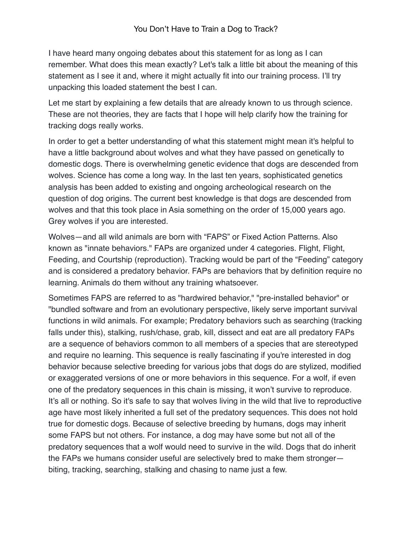I have heard many ongoing debates about this statement for as long as I can remember. What does this mean exactly? Let's talk a little bit about the meaning of this statement as I see it and, where it might actually fit into our training process. I'll try unpacking this loaded statement the best I can.

Let me start by explaining a few details that are already known to us through science. These are not theories, they are facts that I hope will help clarify how the training for tracking dogs really works.

In order to get a better understanding of what this statement might mean it's helpful to have a little background about wolves and what they have passed on genetically to domestic dogs. There is overwhelming genetic evidence that dogs are descended from wolves. Science has come a long way. In the last ten years, sophisticated genetics analysis has been added to existing and ongoing archeological research on the question of dog origins. The current best knowledge is that dogs are descended from wolves and that this took place in Asia something on the order of 15,000 years ago. Grey wolves if you are interested.

Wolves—and all wild animals are born with "FAPS" or Fixed Action Patterns. Also known as "innate behaviors." FAPs are organized under 4 categories. Flight, Flight, Feeding, and Courtship (reproduction). Tracking would be part of the "Feeding" category and is considered a predatory behavior. FAPs are behaviors that by definition require no learning. Animals do them without any training whatsoever.

Sometimes FAPS are referred to as "hardwired behavior," "pre-installed behavior" or "bundled software and from an evolutionary perspective, likely serve important survival functions in wild animals. For example; Predatory behaviors such as searching (tracking falls under this), stalking, rush/chase, grab, kill, dissect and eat are all predatory FAPs are a sequence of behaviors common to all members of a species that are stereotyped and require no learning. This sequence is really fascinating if you're interested in dog behavior because selective breeding for various jobs that dogs do are stylized, modified or exaggerated versions of one or more behaviors in this sequence. For a wolf, if even one of the predatory sequences in this chain is missing, it won't survive to reproduce. It's all or nothing. So it's safe to say that wolves living in the wild that live to reproductive age have most likely inherited a full set of the predatory sequences. This does not hold true for domestic dogs. Because of selective breeding by humans, dogs may inherit some FAPS but not others. For instance, a dog may have some but not all of the predatory sequences that a wolf would need to survive in the wild. Dogs that do inherit the FAPs we humans consider useful are selectively bred to make them stronger biting, tracking, searching, stalking and chasing to name just a few.